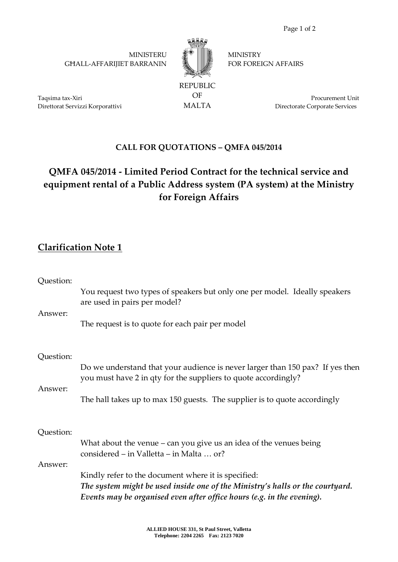**MINISTERU** GĦALL-AFFARIJIET BARRANIN



OF MALTA **MINISTRY** FOR FOREIGN AFFAIRS

Taqsima tax-Xiri Direttorat Servizzi Korporattivi

Procurement Unit Directorate Corporate Services

## **CALL FOR QUOTATIONS – QMFA 045/2014**

## **QMFA 045/2014 - Limited Period Contract for the technical service and equipment rental of a Public Address system (PA system) at the Ministry for Foreign Affairs**

## **Clarification Note 1**

| Question: |                                                                                                                                                                                                                |
|-----------|----------------------------------------------------------------------------------------------------------------------------------------------------------------------------------------------------------------|
| Answer:   | You request two types of speakers but only one per model. Ideally speakers<br>are used in pairs per model?                                                                                                     |
|           | The request is to quote for each pair per model                                                                                                                                                                |
| Question: |                                                                                                                                                                                                                |
| Answer:   | Do we understand that your audience is never larger than 150 pax? If yes then<br>you must have 2 in qty for the suppliers to quote accordingly?                                                                |
|           | The hall takes up to max 150 guests. The supplier is to quote accordingly                                                                                                                                      |
| Question: |                                                                                                                                                                                                                |
|           | What about the venue $-$ can you give us an idea of the venues being<br>considered – in Valletta – in Malta  or?                                                                                               |
| Answer:   |                                                                                                                                                                                                                |
|           | Kindly refer to the document where it is specified:<br>The system might be used inside one of the Ministry's halls or the courtyard.<br>Events may be organised even after office hours (e.g. in the evening). |